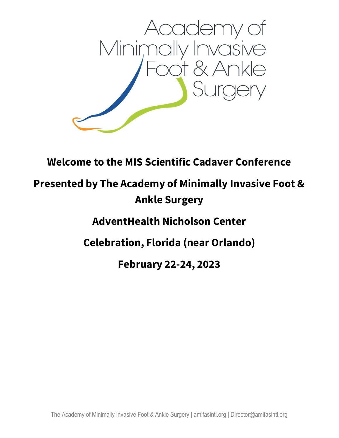

## Welcome to the MIS Scientific Cadaver Conference

# Presented by The Academy of Minimally Invasive Foot & Ankle Surgery

AdventHealth Nicholson Center

Celebration, Florida (near Orlando)

February 22-24, 2023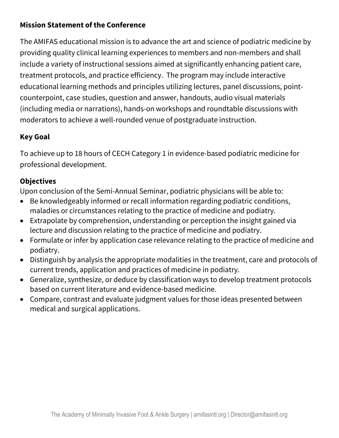## Mission Statement of the Conference

The AMIFAS educational mission is to advance the art and science of podiatric medicine by providing quality clinical learning experiences to members and non-members and shall include a variety of instructional sessions aimed at significantly enhancing patient care, treatment protocols, and practice efficiency. The program may include interactive educational learning methods and principles utilizing lectures, panel discussions, pointcounterpoint, case studies, question and answer, handouts, audio visual materials (including media or narrations), hands-on workshops and roundtable discussions with moderators to achieve a well-rounded venue of postgraduate instruction.

## Key Goal

To achieve up to 18 hours of CECH Category 1 in evidence-based podiatric medicine for professional development.

### **Objectives**

Upon conclusion of the Semi-Annual Seminar, podiatric physicians will be able to:

- Be knowledgeably informed or recall information regarding podiatric conditions, maladies or circumstances relating to the practice of medicine and podiatry.
- Extrapolate by comprehension, understanding or perception the insight gained via lecture and discussion relating to the practice of medicine and podiatry.
- Formulate or infer by application case relevance relating to the practice of medicine and podiatry.
- Distinguish by analysis the appropriate modalities in the treatment, care and protocols of current trends, application and practices of medicine in podiatry.
- Generalize, synthesize, or deduce by classification ways to develop treatment protocols based on current literature and evidence-based medicine.
- Compare, contrast and evaluate judgment values for those ideas presented between medical and surgical applications.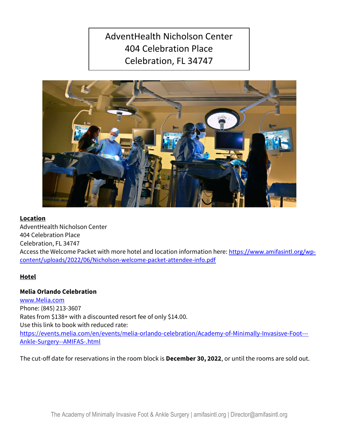## AdventHealth Nicholson Center 404 Celebration Place Celebration, FL 34747



#### Location

AdventHealth Nicholson Center 404 Celebration Place Celebration, FL 34747 Access the Welcome Packet with more hotel and location information here: https://www.amifasintl.org/wpcontent/uploads/2022/06/Nicholson-welcome-packet-attendee-info.pdf

#### Hotel

#### Melia Orlando Celebration

www.Melia.com Phone: (845) 213-3607 Rates from \$138+ with a discounted resort fee of only \$14.00. Use this link to book with reduced rate: https://events.melia.com/en/events/melia-orlando-celebration/Academy-of-Minimally-Invasisve-Foot--- Ankle-Surgery--AMIFAS-.html

The cut-off date for reservations in the room block is **December 30, 2022**, or until the rooms are sold out.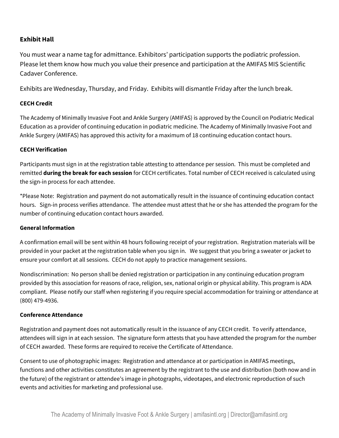#### Exhibit Hall

You must wear a name tag for admittance. Exhibitors' participation supports the podiatric profession. Please let them know how much you value their presence and participation at the AMIFAS MIS Scientific Cadaver Conference.

Exhibits are Wednesday, Thursday, and Friday. Exhibits will dismantle Friday after the lunch break.

#### CECH Credit

The Academy of Minimally Invasive Foot and Ankle Surgery (AMIFAS) is approved by the Council on Podiatric Medical Education as a provider of continuing education in podiatric medicine. The Academy of Minimally Invasive Foot and Ankle Surgery (AMIFAS) has approved this activity for a maximum of 18 continuing education contact hours.

#### CECH Verification

Participants must sign in at the registration table attesting to attendance per session. This must be completed and remitted during the break for each session for CECH certificates. Total number of CECH received is calculated using the sign-in process for each attendee.

\*Please Note: Registration and payment do not automatically result in the issuance of continuing education contact hours. Sign-in process verifies attendance. The attendee must attest that he or she has attended the program for the number of continuing education contact hours awarded.

#### General Information

A confirmation email will be sent within 48 hours following receipt of your registration. Registration materials will be provided in your packet at the registration table when you sign in. We suggest that you bring a sweater or jacket to ensure your comfort at all sessions. CECH do not apply to practice management sessions.

Nondiscrimination: No person shall be denied registration or participation in any continuing education program provided by this association for reasons of race, religion, sex, national origin or physical ability. This program is ADA compliant. Please notify our staff when registering if you require special accommodation for training or attendance at (800) 479-4936.

#### Conference Attendance

Registration and payment does not automatically result in the issuance of any CECH credit. To verify attendance, attendees will sign in at each session. The signature form attests that you have attended the program for the number of CECH awarded. These forms are required to receive the Certificate of Attendance.

Consent to use of photographic images: Registration and attendance at or participation in AMIFAS meetings, functions and other activities constitutes an agreement by the registrant to the use and distribution (both now and in the future) of the registrant or attendee's image in photographs, videotapes, and electronic reproduction of such events and activities for marketing and professional use.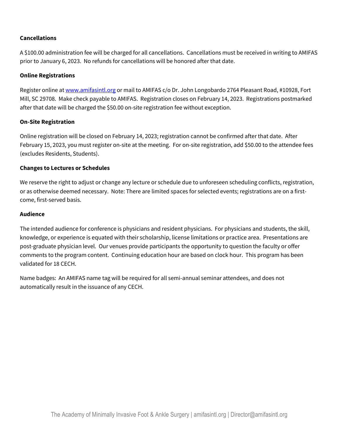#### Cancellations

A \$100.00 administration fee will be charged for all cancellations. Cancellations must be received in writing to AMIFAS prior to January 6, 2023. No refunds for cancellations will be honored after that date.

#### Online Registrations

Register online at www.amifasintl.org or mail to AMIFAS c/o Dr. John Longobardo 2764 Pleasant Road, #10928, Fort Mill, SC 29708. Make check payable to AMIFAS. Registration closes on February 14, 2023. Registrations postmarked after that date will be charged the \$50.00 on-site registration fee without exception.

#### On-Site Registration

Online registration will be closed on February 14, 2023; registration cannot be confirmed after that date. After February 15, 2023, you must register on-site at the meeting. For on-site registration, add \$50.00 to the attendee fees (excludes Residents, Students).

#### Changes to Lectures or Schedules

We reserve the right to adjust or change any lecture or schedule due to unforeseen scheduling conflicts, registration, or as otherwise deemed necessary. Note: There are limited spaces for selected events; registrations are on a firstcome, first-served basis.

#### Audience

The intended audience for conference is physicians and resident physicians. For physicians and students, the skill, knowledge, or experience is equated with their scholarship, license limitations or practice area. Presentations are post-graduate physician level. Our venues provide participants the opportunity to question the faculty or offer comments to the program content. Continuing education hour are based on clock hour. This program has been validated for 18 CECH.

Name badges: An AMIFAS name tag will be required for all semi-annual seminar attendees, and does not automatically result in the issuance of any CECH.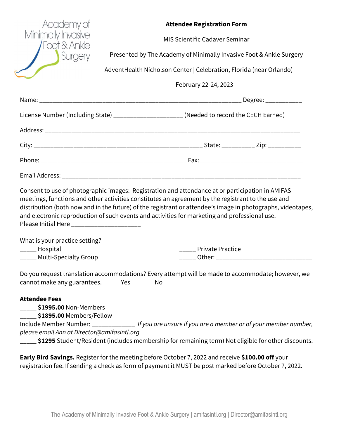| Academy of<br>Minimally Invasive<br>Foot & Ankle<br>Surgery                                                                                                                                                                                                                                                                                                                                                                                                          |  |  | <b>Attendee Registration Form</b><br><b>MIS Scientific Cadaver Seminar</b><br>AdventHealth Nicholson Center   Celebration, Florida (near Orlando) | Presented by The Academy of Minimally Invasive Foot & Ankle Surgery                                |  |
|----------------------------------------------------------------------------------------------------------------------------------------------------------------------------------------------------------------------------------------------------------------------------------------------------------------------------------------------------------------------------------------------------------------------------------------------------------------------|--|--|---------------------------------------------------------------------------------------------------------------------------------------------------|----------------------------------------------------------------------------------------------------|--|
|                                                                                                                                                                                                                                                                                                                                                                                                                                                                      |  |  | February 22-24, 2023                                                                                                                              |                                                                                                    |  |
|                                                                                                                                                                                                                                                                                                                                                                                                                                                                      |  |  |                                                                                                                                                   |                                                                                                    |  |
| License Number (Including State) _______________________ (Needed to record the CECH Earned)                                                                                                                                                                                                                                                                                                                                                                          |  |  |                                                                                                                                                   |                                                                                                    |  |
|                                                                                                                                                                                                                                                                                                                                                                                                                                                                      |  |  |                                                                                                                                                   |                                                                                                    |  |
|                                                                                                                                                                                                                                                                                                                                                                                                                                                                      |  |  |                                                                                                                                                   |                                                                                                    |  |
|                                                                                                                                                                                                                                                                                                                                                                                                                                                                      |  |  |                                                                                                                                                   |                                                                                                    |  |
|                                                                                                                                                                                                                                                                                                                                                                                                                                                                      |  |  |                                                                                                                                                   |                                                                                                    |  |
| Consent to use of photographic images: Registration and attendance at or participation in AMIFAS<br>meetings, functions and other activities constitutes an agreement by the registrant to the use and<br>distribution (both now and in the future) of the registrant or attendee's image in photographs, videotapes,<br>and electronic reproduction of such events and activities for marketing and professional use.<br>Please Initial Here ______________________ |  |  |                                                                                                                                                   |                                                                                                    |  |
| What is your practice setting?                                                                                                                                                                                                                                                                                                                                                                                                                                       |  |  |                                                                                                                                                   |                                                                                                    |  |
| ______ Hospital<br>____ Multi-Specialty Group                                                                                                                                                                                                                                                                                                                                                                                                                        |  |  | <b>Private Practice</b>                                                                                                                           |                                                                                                    |  |
| Do you request translation accommodations? Every attempt will be made to accommodate; however, we<br>cannot make any guarantees. _____ Yes _____ No                                                                                                                                                                                                                                                                                                                  |  |  |                                                                                                                                                   |                                                                                                    |  |
| <b>Attendee Fees</b><br><b>_____ \$1995.00</b> Non-Members<br>____ <b>\$1895.00</b> Members/Fellow<br>Include Member Number: _______________ If you are unsure if you are a member or of your member number,<br>please email Ann at Director@amifasintl.org                                                                                                                                                                                                          |  |  |                                                                                                                                                   |                                                                                                    |  |
|                                                                                                                                                                                                                                                                                                                                                                                                                                                                      |  |  |                                                                                                                                                   | \$1295 Student/Resident (includes membership for remaining term) Not eligible for other discounts. |  |

Early Bird Savings. Register for the meeting before October 7, 2022 and receive \$100.00 off your registration fee. If sending a check as form of payment it MUST be post marked before October 7, 2022.